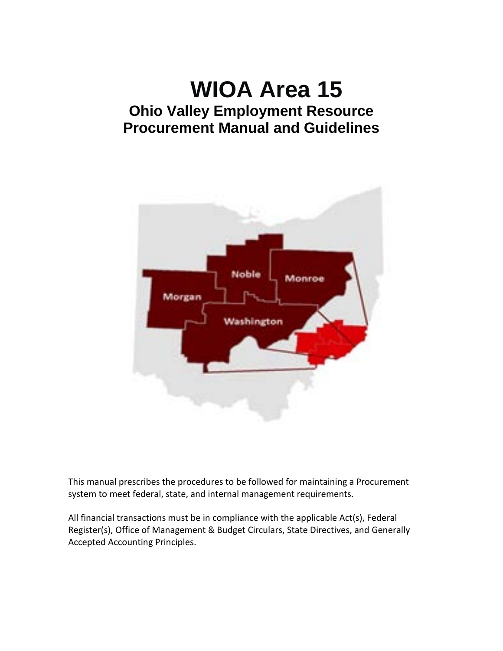# **WIOA Area 15 Ohio Valley Employment Resource Procurement Manual and Guidelines**



This manual prescribes the procedures to be followed for maintaining a Procurement system to meet federal, state, and internal management requirements.

All financial transactions must be in compliance with the applicable Act(s), Federal Register(s), Office of Management & Budget Circulars, State Directives, and Generally Accepted Accounting Principles.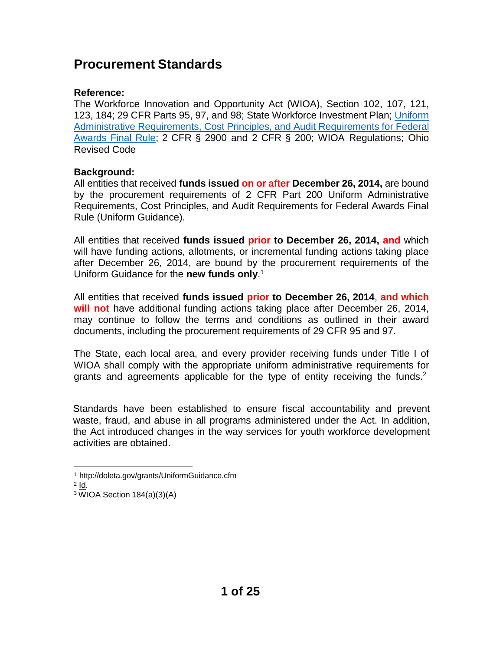## **Procurement Standards**

## **Reference:**

The Workforce Innovation and Opportunity Act (WIOA), Section 102, 107, 121, 123, 184; 29 CFR Parts 95, 97, and 98; State Workforce Investment Plan; [Uniform](http://www.ecfr.gov/cgi-bin/retrieveECFR?gp=1&ty=HTML&h=L&n=2y1.1.2.2.1&r=PART) Administrative [Requirements,](http://www.ecfr.gov/cgi-bin/retrieveECFR?gp=1&ty=HTML&h=L&n=2y1.1.2.2.1&r=PART) Cost Principles, and Audit Requirements for Federal [Awards](http://www.ecfr.gov/cgi-bin/retrieveECFR?gp=1&ty=HTML&h=L&n=2y1.1.2.2.1&r=PART) Final Rule; 2 CFR § 2900 and 2 CFR § 200; WIOA Regulations; Ohio Revised Code

## **Background:**

All entities that received **funds issued on or after December 26, 2014,** are bound by the procurement requirements of 2 CFR Part 200 Uniform Administrative Requirements, Cost Principles, and Audit Requirements for Federal Awards Final Rule (Uniform Guidance).

All entities that received **funds issued prior to December 26, 2014, and** which will have funding actions, allotments, or incremental funding actions taking place after December 26, 2014, are bound by the procurement requirements of the Uniform Guidance for the **new funds only**. 1

All entities that received **funds issued prior to December 26, 2014**, **and which will not** have additional funding actions taking place after December 26, 2014, may continue to follow the terms and conditions as outlined in their award documents, including the procurement requirements of 29 CFR 95 and 97.

The State, each local area, and every provider receiving funds under Title I of WIOA shall comply with the appropriate uniform administrative requirements for grants and agreements applicable for the type of entity receiving the funds.<sup>2</sup>

Standards have been established to ensure fiscal accountability and prevent waste, fraud, and abuse in all programs administered under the Act. In addition, the Act introduced changes in the way services for youth workforce development activities are obtained.

<sup>1</sup><http://doleta.gov/grants/UniformGuidance.cfm>

 $2$   $Id.$ 

 $3\overline{W}$ IOA Section 184(a)(3)(A)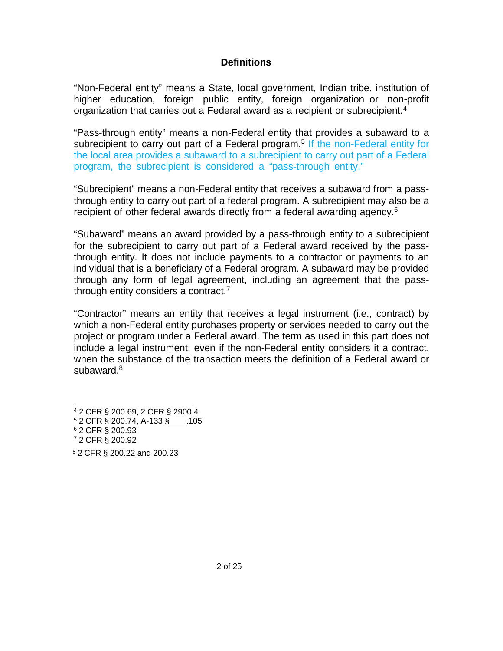## **Definitions**

"Non-Federal entity" means a State, local government, Indian tribe, institution of higher education, foreign public entity, foreign organization or non-profit organization that carries out a Federal award as a recipient or subrecipient.<sup>4</sup>

"Pass-through entity" means a non-Federal entity that provides a subaward to a subrecipient to carry out part of a Federal program.<sup>5</sup> If the non-Federal entity for the local area provides a subaward to a subrecipient to carry out part of a Federal program, the subrecipient is considered a "pass-through entity."

"Subrecipient" means a non-Federal entity that receives a subaward from a passthrough entity to carry out part of a federal program. A subrecipient may also be a recipient of other federal awards directly from a federal awarding agency.<sup>6</sup>

"Subaward" means an award provided by a pass-through entity to a subrecipient for the subrecipient to carry out part of a Federal award received by the passthrough entity. It does not include payments to a contractor or payments to an individual that is a beneficiary of a Federal program. A subaward may be provided through any form of legal agreement, including an agreement that the passthrough entity considers a contract.<sup>7</sup>

"Contractor" means an entity that receives a legal instrument (i.e., contract) by which a non-Federal entity purchases property or services needed to carry out the project or program under a Federal award. The term as used in this part does not include a legal instrument, even if the non-Federal entity considers it a contract, when the substance of the transaction meets the definition of a Federal award or subaward. $8$ 

<sup>4</sup> 2 CFR § 200.69, 2 CFR § 2900.4

<sup>5</sup> 2 CFR § 200.74, A-133 § .105

<sup>6</sup> 2 CFR § 200.93

<sup>7</sup> 2 CFR § 200.92

<sup>8</sup> 2 CFR § 200.22 and 200.23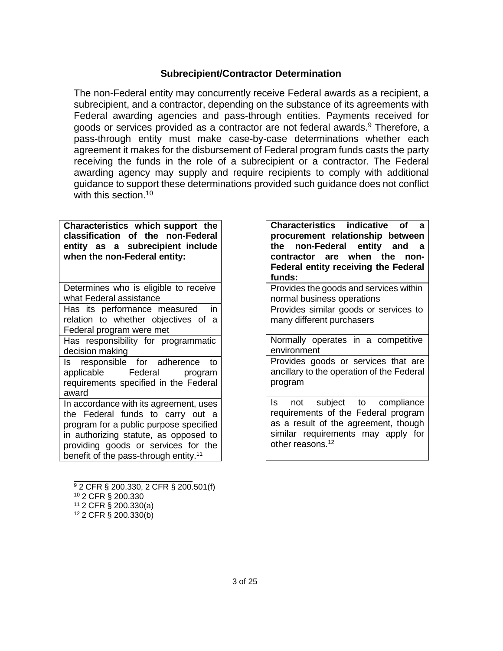#### **Subrecipient/Contractor Determination**

The non-Federal entity may concurrently receive Federal awards as a recipient, a subrecipient, and a contractor, depending on the substance of its agreements with Federal awarding agencies and pass-through entities. Payments received for goods or services provided as a contractor are not federal awards.9 Therefore, a pass-through entity must make case-by-case determinations whether each agreement it makes for the disbursement of Federal program funds casts the party receiving the funds in the role of a subrecipient or a contractor. The Federal awarding agency may supply and require recipients to comply with additional guidance to support these determinations provided such guidance does not conflict with this section.<sup>10</sup>

**Characteristics which support the classification of the non-Federal entity as a subrecipient include when the non-Federal entity:**

Determines who is eligible to receive what Federal assistance

Has its performance measured in relation to whether objectives of a Federal program were met

Has responsibility for programmatic decision making

Is responsible for adherence to<br>applicable Federal program applicable Federal program requirements specified in the Federal award

In accordance with its agreement, uses the Federal funds to carry out a program for a public purpose specified in authorizing statute, as opposed to providing goods or services for the benefit of the pass-through entity.<sup>11</sup>

**Characteristics indicative of a procurement relationship between the non-Federal entity and a contractor are when the non-Federal entity receiving the Federal funds:**

Provides the goods and services within normal business operations

Provides similar goods or services to many different purchasers

Normally operates in a competitive environment

Provides goods or services that are ancillary to the operation of the Federal program

Is not subject to compliance requirements of the Federal program as a result of the agreement, though similar requirements may apply for other reasons.<sup>12</sup>

<sup>9</sup> 2 CFR § 200.330, 2 CFR § 200.501(f)

<sup>10</sup> 2 CFR § 200.330

<sup>11</sup> 2 CFR § 200.330(a)

<sup>12</sup> 2 CFR § 200.330(b)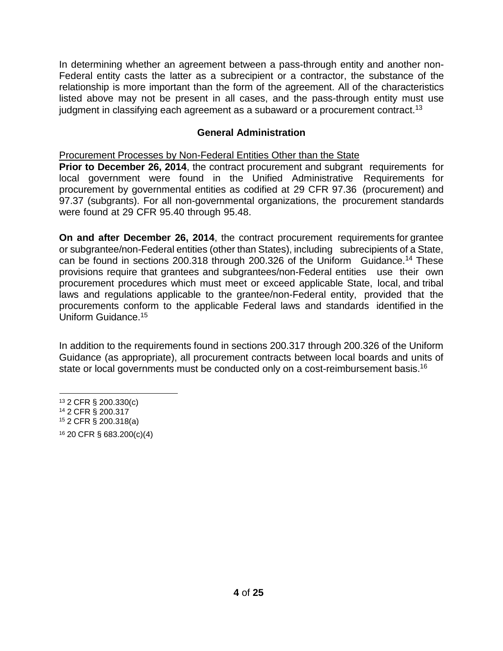In determining whether an agreement between a pass-through entity and another non-Federal entity casts the latter as a subrecipient or a contractor, the substance of the relationship is more important than the form of the agreement. All of the characteristics listed above may not be present in all cases, and the pass-through entity must use judgment in classifying each agreement as a subaward or a procurement contract.<sup>13</sup>

## **General Administration**

Procurement Processes by Non-Federal Entities Other than the State

**Prior to December 26, 2014**, the contract procurement and subgrant requirements for local government were found in the Unified Administrative Requirements for procurement by governmental entities as codified at 29 CFR 97.36 (procurement) and 97.37 (subgrants). For all non-governmental organizations, the procurement standards were found at 29 CFR 95.40 through 95.48.

**On and after December 26, 2014**, the contract procurement requirements for grantee or subgrantee/non-Federal entities (other than States), including subrecipients of a State, can be found in sections 200.318 through 200.326 of the Uniform Guidance.14 These provisions require that grantees and subgrantees/non-Federal entities use their own procurement procedures which must meet or exceed applicable State, local, and tribal laws and regulations applicable to the grantee/non-Federal entity, provided that the procurements conform to the applicable Federal laws and standards identified in the Uniform Guidance.15

In addition to the requirements found in sections 200.317 through 200.326 of the Uniform Guidance (as appropriate), all procurement contracts between local boards and units of state or local governments must be conducted only on a cost-reimbursement basis.<sup>16</sup>

<sup>13</sup> 2 CFR § 200.330(c)

<sup>14</sup> 2 CFR § 200.317

<sup>15</sup> 2 CFR § 200.318(a)

<sup>16</sup> 20 CFR § 683.200(c)(4)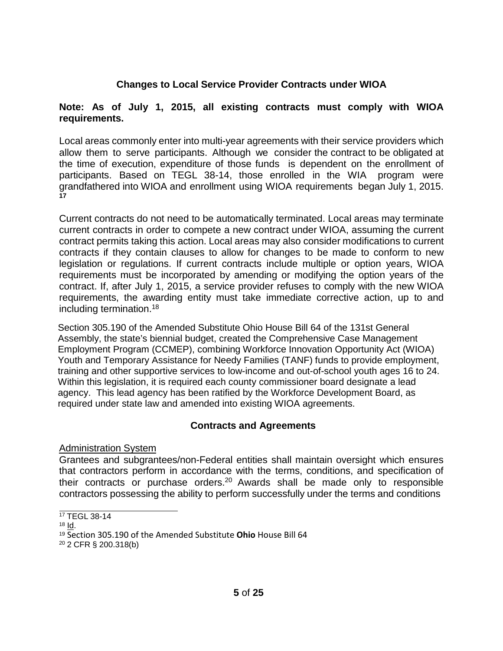## **Changes to Local Service Provider Contracts under WIOA**

#### **Note: As of July 1, 2015, all existing contracts must comply with WIOA requirements.**

Local areas commonly enter into multi-year agreements with their service providers which allow them to serve participants. Although we consider the contract to be obligated at the time of execution, expenditure of those funds is dependent on the enrollment of participants. Based on TEGL 38-14, those enrolled in the WIA program were grandfathered into WIOA and enrollment using WIOA requirements began July 1, 2015. **17**

Current contracts do not need to be automatically terminated. Local areas may terminate current contracts in order to compete a new contract under WIOA, assuming the current contract permits taking this action. Local areas may also consider modifications to current contracts if they contain clauses to allow for changes to be made to conform to new legislation or regulations. If current contracts include multiple or option years, WIOA requirements must be incorporated by amending or modifying the option years of the contract. If, after July 1, 2015, a service provider refuses to comply with the new WIOA requirements, the awarding entity must take immediate corrective action, up to and including termination.18

Section 305.190 of the Amended Substitute Ohio House Bill 64 of the 131st General Assembly, the state's biennial budget, created the Comprehensive Case Management Employment Program (CCMEP), combining Workforce Innovation Opportunity Act (WIOA) Youth and Temporary Assistance for Needy Families (TANF) funds to provide employment, training and other supportive services to low-income and out-of-school youth ages 16 to 24. Within this legislation, it is required each county commissioner board designate a lead agency. This lead agency has been ratified by the Workforce Development Board, as required under state law and amended into existing WIOA agreements.

## **Contracts and Agreements**

Administration System

Grantees and subgrantees/non-Federal entities shall maintain oversight which ensures that contractors perform in accordance with the terms, conditions, and specification of their contracts or purchase orders.<sup>20</sup> Awards shall be made only to responsible contractors possessing the ability to perform successfully under the terms and conditions

<sup>&</sup>lt;sup>17</sup> TEGL 38-14

 $18$  Id.

<sup>19</sup> Section 305.190 of the Amended Substitute **Ohio** House Bill 64

<sup>20</sup> 2 CFR § 200.318(b)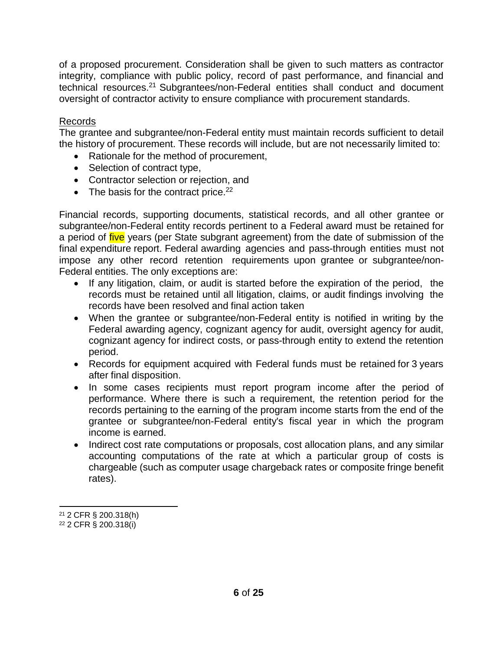of a proposed procurement. Consideration shall be given to such matters as contractor integrity, compliance with public policy, record of past performance, and financial and technical resources.21 Subgrantees/non-Federal entities shall conduct and document oversight of contractor activity to ensure compliance with procurement standards.

## Records

The grantee and subgrantee/non-Federal entity must maintain records sufficient to detail the history of procurement. These records will include, but are not necessarily limited to:

- Rationale for the method of procurement,
- Selection of contract type,
- Contractor selection or rejection, and
- The basis for the contract price. $^{22}$

Financial records, supporting documents, statistical records, and all other grantee or subgrantee/non-Federal entity records pertinent to a Federal award must be retained for a period of five years (per State subgrant agreement) from the date of submission of the final expenditure report. Federal awarding agencies and pass-through entities must not impose any other record retention requirements upon grantee or subgrantee/non-Federal entities. The only exceptions are:

- If any litigation, claim, or audit is started before the expiration of the period, the records must be retained until all litigation, claims, or audit findings involving the records have been resolved and final action taken
- When the grantee or subgrantee/non-Federal entity is notified in writing by the Federal awarding agency, cognizant agency for audit, oversight agency for audit, cognizant agency for indirect costs, or pass-through entity to extend the retention period.
- Records for equipment acquired with Federal funds must be retained for 3 years after final disposition.
- In some cases recipients must report program income after the period of performance. Where there is such a requirement, the retention period for the records pertaining to the earning of the program income starts from the end of the grantee or subgrantee/non-Federal entity's fiscal year in which the program income is earned.
- Indirect cost rate computations or proposals, cost allocation plans, and any similar accounting computations of the rate at which a particular group of costs is chargeable (such as computer usage chargeback rates or composite fringe benefit rates).

<sup>21</sup> 2 CFR § 200.318(h) <sup>22</sup> 2 CFR § 200.318(i)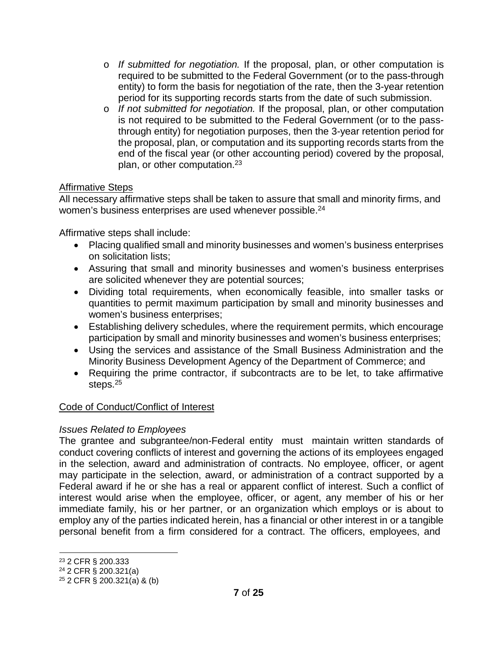- o *If submitted for negotiation.* If the proposal, plan, or other computation is required to be submitted to the Federal Government (or to the pass-through entity) to form the basis for negotiation of the rate, then the 3-year retention period for its supporting records starts from the date of such submission.
- o *If not submitted for negotiation.* If the proposal, plan, or other computation is not required to be submitted to the Federal Government (or to the passthrough entity) for negotiation purposes, then the 3-year retention period for the proposal, plan, or computation and its supporting records starts from the end of the fiscal year (or other accounting period) covered by the proposal, plan, or other computation.23

## Affirmative Steps

All necessary affirmative steps shall be taken to assure that small and minority firms, and women's business enterprises are used whenever possible.<sup>24</sup>

Affirmative steps shall include:

- Placing qualified small and minority businesses and women's business enterprises on solicitation lists;
- Assuring that small and minority businesses and women's business enterprises are solicited whenever they are potential sources;
- Dividing total requirements, when economically feasible, into smaller tasks or quantities to permit maximum participation by small and minority businesses and women's business enterprises;
- Establishing delivery schedules, where the requirement permits, which encourage participation by small and minority businesses and women's business enterprises;
- Using the services and assistance of the Small Business Administration and the Minority Business Development Agency of the Department of Commerce; and
- Requiring the prime contractor, if subcontracts are to be let, to take affirmative steps.25

## Code of Conduct/Conflict of Interest

## *Issues Related to Employees*

The grantee and subgrantee/non-Federal entity must maintain written standards of conduct covering conflicts of interest and governing the actions of its employees engaged in the selection, award and administration of contracts. No employee, officer, or agent may participate in the selection, award, or administration of a contract supported by a Federal award if he or she has a real or apparent conflict of interest. Such a conflict of interest would arise when the employee, officer, or agent, any member of his or her immediate family, his or her partner, or an organization which employs or is about to employ any of the parties indicated herein, has a financial or other interest in or a tangible personal benefit from a firm considered for a contract. The officers, employees, and

<sup>23</sup> 2 CFR § 200.333

<sup>24</sup> 2 CFR § 200.321(a)

<sup>25</sup> 2 CFR § 200.321(a) & (b)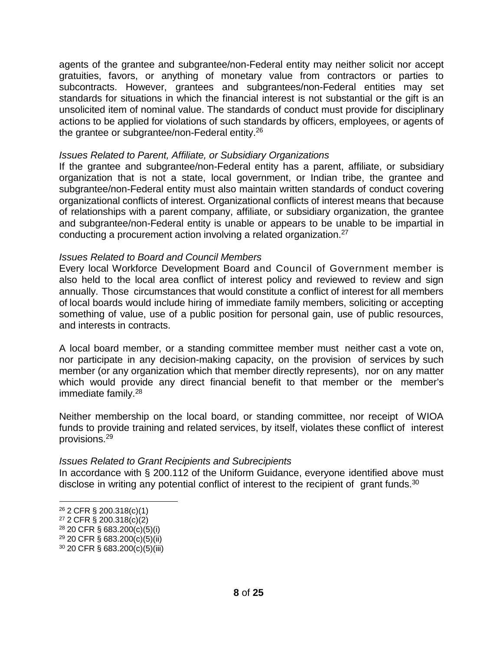agents of the grantee and subgrantee/non-Federal entity may neither solicit nor accept gratuities, favors, or anything of monetary value from contractors or parties to subcontracts. However, grantees and subgrantees/non-Federal entities may set standards for situations in which the financial interest is not substantial or the gift is an unsolicited item of nominal value. The standards of conduct must provide for disciplinary actions to be applied for violations of such standards by officers, employees, or agents of the grantee or subgrantee/non-Federal entity.26

#### *Issues Related to Parent, Affiliate, or Subsidiary Organizations*

If the grantee and subgrantee/non-Federal entity has a parent, affiliate, or subsidiary organization that is not a state, local government, or Indian tribe, the grantee and subgrantee/non-Federal entity must also maintain written standards of conduct covering organizational conflicts of interest. Organizational conflicts of interest means that because of relationships with a parent company, affiliate, or subsidiary organization, the grantee and subgrantee/non-Federal entity is unable or appears to be unable to be impartial in conducting a procurement action involving a related organization.27

#### *Issues Related to Board and Council Members*

Every local Workforce Development Board and Council of Government member is also held to the local area conflict of interest policy and reviewed to review and sign annually. Those circumstances that would constitute a conflict of interest for all members of local boards would include hiring of immediate family members, soliciting or accepting something of value, use of a public position for personal gain, use of public resources, and interests in contracts.

A local board member, or a standing committee member must neither cast a vote on, nor participate in any decision-making capacity, on the provision of services by such member (or any organization which that member directly represents), nor on any matter which would provide any direct financial benefit to that member or the member's immediate family. $28$ 

Neither membership on the local board, or standing committee, nor receipt of WIOA funds to provide training and related services, by itself, violates these conflict of interest provisions.29

#### *Issues Related to Grant Recipients and Subrecipients*

In accordance with § 200.112 of the Uniform Guidance, everyone identified above must disclose in writing any potential conflict of interest to the recipient of grant funds.<sup>30</sup>

<sup>26</sup> 2 CFR § 200.318(c)(1)

<sup>27</sup> 2 CFR § 200.318(c)(2)

<sup>28</sup> 20 CFR § 683.200(c)(5)(i)

<sup>29</sup> 20 CFR § 683.200(c)(5)(ii)

<sup>30</sup> 20 CFR § 683.200(c)(5)(iii)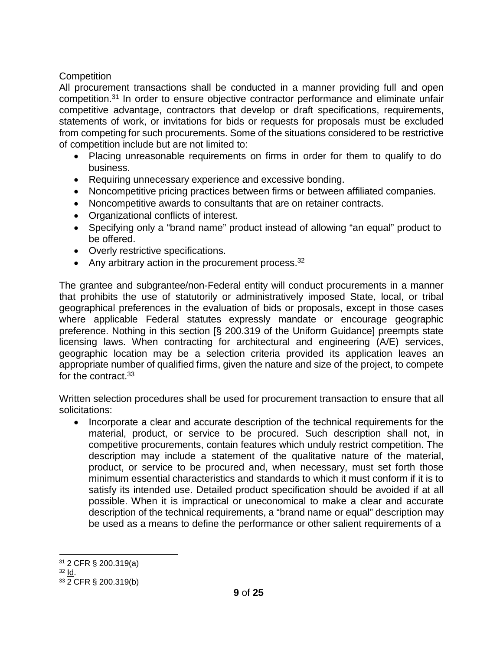## **Competition**

All procurement transactions shall be conducted in a manner providing full and open competition.31 In order to ensure objective contractor performance and eliminate unfair competitive advantage, contractors that develop or draft specifications, requirements, statements of work, or invitations for bids or requests for proposals must be excluded from competing for such procurements. Some of the situations considered to be restrictive of competition include but are not limited to:

- Placing unreasonable requirements on firms in order for them to qualify to do business.
- Requiring unnecessary experience and excessive bonding.
- Noncompetitive pricing practices between firms or between affiliated companies.
- Noncompetitive awards to consultants that are on retainer contracts.
- Organizational conflicts of interest.
- Specifying only a "brand name" product instead of allowing "an equal" product to be offered.
- Overly restrictive specifications.
- Any arbitrary action in the procurement process.  $32$

The grantee and subgrantee/non-Federal entity will conduct procurements in a manner that prohibits the use of statutorily or administratively imposed State, local, or tribal geographical preferences in the evaluation of bids or proposals, except in those cases where applicable Federal statutes expressly mandate or encourage geographic preference. Nothing in this section [§ 200.319 of the Uniform Guidance] preempts state licensing laws. When contracting for architectural and engineering (A/E) services, geographic location may be a selection criteria provided its application leaves an appropriate number of qualified firms, given the nature and size of the project, to compete for the contract.<sup>33</sup>

Written selection procedures shall be used for procurement transaction to ensure that all solicitations:

• Incorporate a clear and accurate description of the technical requirements for the material, product, or service to be procured. Such description shall not, in competitive procurements, contain features which unduly restrict competition. The description may include a statement of the qualitative nature of the material, product, or service to be procured and, when necessary, must set forth those minimum essential characteristics and standards to which it must conform if it is to satisfy its intended use. Detailed product specification should be avoided if at all possible. When it is impractical or uneconomical to make a clear and accurate description of the technical requirements, a "brand name or equal" description may be used as a means to define the performance or other salient requirements of a

<sup>31</sup> 2 CFR § 200.319(a)

<sup>32</sup> Id.

<sup>33</sup> 2 CFR § 200.319(b)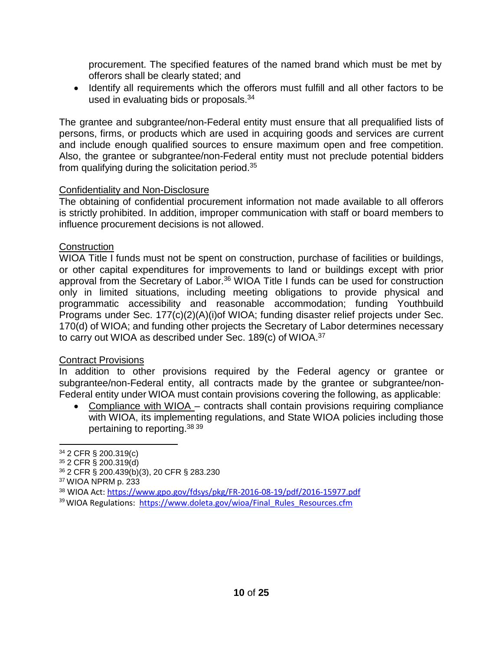procurement. The specified features of the named brand which must be met by offerors shall be clearly stated; and

• Identify all requirements which the offerors must fulfill and all other factors to be used in evaluating bids or proposals.<sup>34</sup>

The grantee and subgrantee/non-Federal entity must ensure that all prequalified lists of persons, firms, or products which are used in acquiring goods and services are current and include enough qualified sources to ensure maximum open and free competition. Also, the grantee or subgrantee/non-Federal entity must not preclude potential bidders from qualifying during the solicitation period.35

## Confidentiality and Non-Disclosure

The obtaining of confidential procurement information not made available to all offerors is strictly prohibited. In addition, improper communication with staff or board members to influence procurement decisions is not allowed.

## **Construction**

WIOA Title I funds must not be spent on construction, purchase of facilities or buildings, or other capital expenditures for improvements to land or buildings except with prior approval from the Secretary of Labor.<sup>36</sup> WIOA Title I funds can be used for construction only in limited situations, including meeting obligations to provide physical and programmatic accessibility and reasonable accommodation; funding Youthbuild Programs under Sec. 177(c)(2)(A)(i)of WIOA; funding disaster relief projects under Sec. 170(d) of WIOA; and funding other projects the Secretary of Labor determines necessary to carry out WIOA as described under Sec. 189(c) of WIOA.37

#### Contract Provisions

In addition to other provisions required by the Federal agency or grantee or subgrantee/non-Federal entity, all contracts made by the grantee or subgrantee/non-Federal entity under WIOA must contain provisions covering the following, as applicable:

• Compliance with WIOA – contracts shall contain provisions requiring compliance with WIOA, its implementing regulations, and State WIOA policies including those pertaining to reporting.38 <sup>39</sup>

<sup>38</sup> WIOA Act:<https://www.gpo.gov/fdsys/pkg/FR-2016-08-19/pdf/2016-15977.pdf>

<sup>34</sup> 2 CFR § 200.319(c)

<sup>35</sup> 2 CFR § 200.319(d)

<sup>36</sup> 2 CFR § 200.439(b)(3), 20 CFR § 283.230

<sup>37</sup> WIOA NPRM p. 233

<sup>&</sup>lt;sup>39</sup> WIOA Regulations: [https://www.doleta.gov/wioa/Final\\_Rules\\_Resources.cfm](https://www.doleta.gov/wioa/Final_Rules_Resources.cfm)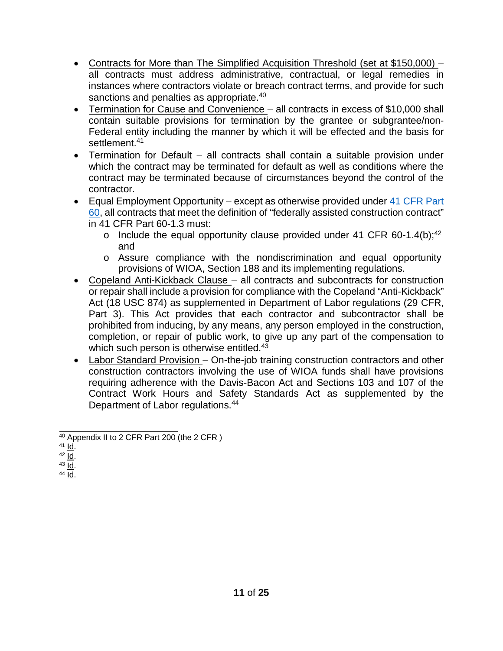- Contracts for More than The Simplified Acquisition Threshold (set at \$150,000) all contracts must address administrative, contractual, or legal remedies in instances where contractors violate or breach contract terms, and provide for such sanctions and penalties as appropriate.<sup>40</sup>
- Termination for Cause and Convenience all contracts in excess of \$10,000 shall contain suitable provisions for termination by the grantee or subgrantee/non-Federal entity including the manner by which it will be effected and the basis for settlement.<sup>41</sup>
- Termination for Default all contracts shall contain a suitable provision under which the contract may be terminated for default as well as conditions where the contract may be terminated because of circumstances beyond the control of the contractor.
- Equal Employment Opportunity except as otherwise provided under 41 [CFR](http://www.ecfr.gov/cgi-bin/text-idx?rgn=div5&node=41%3A1.2.3.1.1&se41.1.60_61_14) Part [60,](http://www.ecfr.gov/cgi-bin/text-idx?rgn=div5&node=41%3A1.2.3.1.1&se41.1.60_61_14) all contracts that meet the definition of "federally assisted construction contract" in 41 CFR Part 60-1.3 must:
	- o Include the equal opportunity clause provided under 41 CFR 60-1.4(b);<sup>42</sup> and
	- o Assure compliance with the nondiscrimination and equal opportunity provisions of WIOA, Section 188 and its implementing regulations.
- Copeland Anti-Kickback Clause all contracts and subcontracts for construction or repair shall include a provision for compliance with the Copeland "Anti-Kickback" Act (18 USC 874) as supplemented in Department of Labor regulations (29 CFR, Part 3). This Act provides that each contractor and subcontractor shall be prohibited from inducing, by any means, any person employed in the construction, completion, or repair of public work, to give up any part of the compensation to which such person is otherwise entitled.<sup>43</sup>
- Labor Standard Provision On-the-job training construction contractors and other construction contractors involving the use of WIOA funds shall have provisions requiring adherence with the Davis-Bacon Act and Sections 103 and 107 of the Contract Work Hours and Safety Standards Act as supplemented by the Department of Labor regulations.44

<sup>40</sup> Appendix II to 2 CFR Part 200 (the 2 CFR )

<sup>41</sup> Id.

 $42 \overline{Id}$ .

 $43$   $\underline{\mathsf{Id}}$ . <sup>44</sup> Id.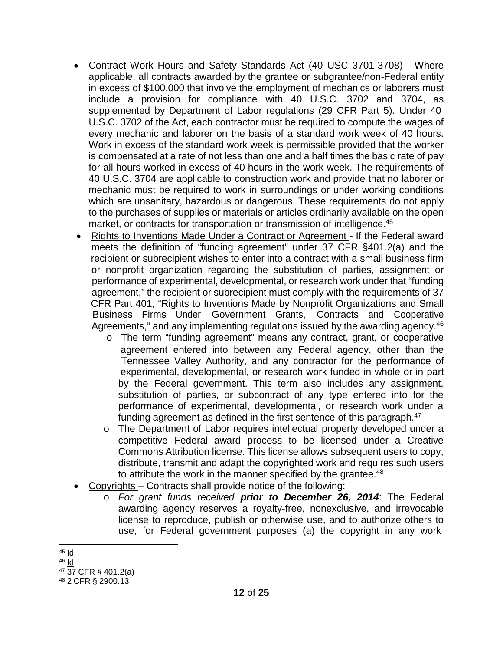- Contract Work Hours and Safety Standards Act (40 USC 3701-3708) Where applicable, all contracts awarded by the grantee or subgrantee/non-Federal entity in excess of \$100,000 that involve the employment of mechanics or laborers must include a provision for compliance with 40 U.S.C. 3702 and 3704, as supplemented by Department of Labor regulations (29 CFR Part 5). Under 40 U.S.C. 3702 of the Act, each contractor must be required to compute the wages of every mechanic and laborer on the basis of a standard work week of 40 hours. Work in excess of the standard work week is permissible provided that the worker is compensated at a rate of not less than one and a half times the basic rate of pay for all hours worked in excess of 40 hours in the work week. The requirements of 40 U.S.C. 3704 are applicable to construction work and provide that no laborer or mechanic must be required to work in surroundings or under working conditions which are unsanitary, hazardous or dangerous. These requirements do not apply to the purchases of supplies or materials or articles ordinarily available on the open market, or contracts for transportation or transmission of intelligence.<sup>45</sup>
- Rights to Inventions Made Under a Contract or Agreement If the Federal award meets the definition of "funding agreement" under 37 CFR §401.2(a) and the recipient or subrecipient wishes to enter into a contract with a small business firm or nonprofit organization regarding the substitution of parties, assignment or performance of experimental, developmental, or research work under that "funding agreement," the recipient or subrecipient must comply with the requirements of 37 CFR Part 401, "Rights to Inventions Made by Nonprofit Organizations and Small Business Firms Under Government Grants, Contracts and Cooperative Agreements," and any implementing regulations issued by the awarding agency.<sup>46</sup>
	- o The term "funding agreement" means any contract, grant, or cooperative agreement entered into between any Federal agency, other than the Tennessee Valley Authority, and any contractor for the performance of experimental, developmental, or research work funded in whole or in part by the Federal government. This term also includes any assignment, substitution of parties, or subcontract of any type entered into for the performance of experimental, developmental, or research work under a funding agreement as defined in the first sentence of this paragraph.<sup>47</sup>
	- o The Department of Labor requires intellectual property developed under a competitive Federal award process to be licensed under a Creative Commons Attribution license. This license allows subsequent users to copy, distribute, transmit and adapt the copyrighted work and requires such users to attribute the work in the manner specified by the grantee.<sup>48</sup>
- Copyrights Contracts shall provide notice of the following:
	- o *For grant funds received prior to December 26, 2014*: The Federal awarding agency reserves a royalty-free, nonexclusive, and irrevocable license to reproduce, publish or otherwise use, and to authorize others to use, for Federal government purposes (a) the copyright in any work

 $45$  Id.

 $46$  Id.

<sup>47</sup> 37 CFR § 401.2(a)

<sup>48</sup> 2 CFR § 2900.13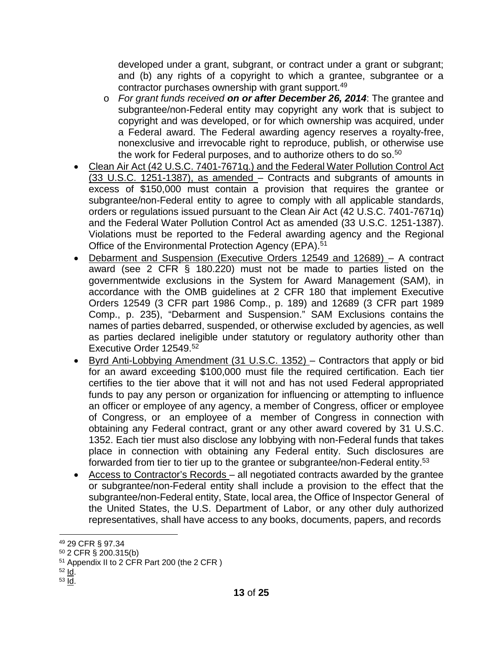developed under a grant, subgrant, or contract under a grant or subgrant; and (b) any rights of a copyright to which a grantee, subgrantee or a contractor purchases ownership with grant support.49

- o *For grant funds received on or after December 26, 2014*: The grantee and subgrantee/non-Federal entity may copyright any work that is subject to copyright and was developed, or for which ownership was acquired, under a Federal award. The Federal awarding agency reserves a royalty-free, nonexclusive and irrevocable right to reproduce, publish, or otherwise use the work for Federal purposes, and to authorize others to do so.<sup>50</sup>
- Clean Air Act (42 U.S.C. 7401-7671q.) and the Federal Water Pollution Control Act (33 U.S.C. 1251-1387), as amended – Contracts and subgrants of amounts in excess of \$150,000 must contain a provision that requires the grantee or subgrantee/non-Federal entity to agree to comply with all applicable standards, orders or regulations issued pursuant to the Clean Air Act (42 U.S.C. 7401-7671q) and the Federal Water Pollution Control Act as amended (33 U.S.C. 1251-1387). Violations must be reported to the Federal awarding agency and the Regional Office of the Environmental Protection Agency (EPA).<sup>51</sup>
- Debarment and Suspension (Executive Orders 12549 and 12689) A contract award (see 2 CFR § 180.220) must not be made to parties listed on the governmentwide exclusions in the System for Award Management (SAM), in accordance with the OMB guidelines at 2 CFR 180 that implement Executive Orders 12549 (3 CFR part 1986 Comp., p. 189) and 12689 (3 CFR part 1989 Comp., p. 235), "Debarment and Suspension." SAM Exclusions contains the names of parties debarred, suspended, or otherwise excluded by agencies, as well as parties declared ineligible under statutory or regulatory authority other than Executive Order 12549.<sup>52</sup>
- Byrd Anti-Lobbying Amendment (31 U.S.C. 1352) Contractors that apply or bid for an award exceeding \$100,000 must file the required certification. Each tier certifies to the tier above that it will not and has not used Federal appropriated funds to pay any person or organization for influencing or attempting to influence an officer or employee of any agency, a member of Congress, officer or employee of Congress, or an employee of a member of Congress in connection with obtaining any Federal contract, grant or any other award covered by 31 U.S.C. 1352. Each tier must also disclose any lobbying with non-Federal funds that takes place in connection with obtaining any Federal entity. Such disclosures are forwarded from tier to tier up to the grantee or subgrantee/non-Federal entity.<sup>53</sup>
- Access to Contractor's Records all negotiated contracts awarded by the grantee or subgrantee/non-Federal entity shall include a provision to the effect that the subgrantee/non-Federal entity, State, local area, the Office of Inspector General of the United States, the U.S. Department of Labor, or any other duly authorized representatives, shall have access to any books, documents, papers, and records

<sup>49</sup> 29 CFR § 97.34

<sup>50</sup> 2 CFR § 200.315(b)

<sup>51</sup> Appendix II to 2 CFR Part 200 (the 2 CFR )

 $52$  Id.

 $53$   $\text{Id}$ .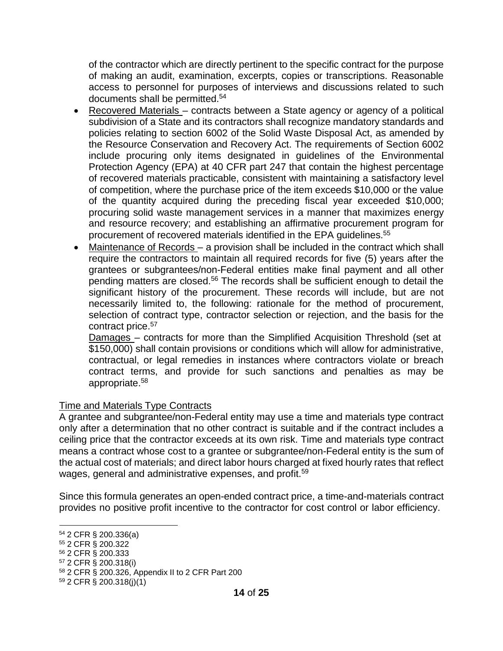of the contractor which are directly pertinent to the specific contract for the purpose of making an audit, examination, excerpts, copies or transcriptions. Reasonable access to personnel for purposes of interviews and discussions related to such documents shall be permitted.54

- Recovered Materials contracts between a State agency or agency of a political subdivision of a State and its contractors shall recognize mandatory standards and policies relating to section 6002 of the Solid Waste Disposal Act, as amended by the Resource Conservation and Recovery Act. The requirements of Section 6002 include procuring only items designated in guidelines of the Environmental Protection Agency (EPA) at 40 CFR part 247 that contain the highest percentage of recovered materials practicable, consistent with maintaining a satisfactory level of competition, where the purchase price of the item exceeds \$10,000 or the value of the quantity acquired during the preceding fiscal year exceeded \$10,000; procuring solid waste management services in a manner that maximizes energy and resource recovery; and establishing an affirmative procurement program for procurement of recovered materials identified in the EPA guidelines.55
- Maintenance of Records a provision shall be included in the contract which shall require the contractors to maintain all required records for five (5) years after the grantees or subgrantees/non-Federal entities make final payment and all other pending matters are closed.<sup>56</sup> The records shall be sufficient enough to detail the significant history of the procurement. These records will include, but are not necessarily limited to, the following: rationale for the method of procurement, selection of contract type, contractor selection or rejection, and the basis for the contract price.57

Damages – contracts for more than the Simplified Acquisition Threshold (set at \$150,000) shall contain provisions or conditions which will allow for administrative, contractual, or legal remedies in instances where contractors violate or breach contract terms, and provide for such sanctions and penalties as may be appropriate.58

## Time and Materials Type Contracts

A grantee and subgrantee/non-Federal entity may use a time and materials type contract only after a determination that no other contract is suitable and if the contract includes a ceiling price that the contractor exceeds at its own risk. Time and materials type contract means a contract whose cost to a grantee or subgrantee/non-Federal entity is the sum of the actual cost of materials; and direct labor hours charged at fixed hourly rates that reflect wages, general and administrative expenses, and profit.<sup>59</sup>

Since this formula generates an open-ended contract price, a time-and-materials contract provides no positive profit incentive to the contractor for cost control or labor efficiency.

- <sup>55</sup> 2 CFR § 200.322
- <sup>56</sup> 2 CFR § 200.333

- <sup>58</sup> 2 CFR § 200.326, Appendix II to 2 CFR Part 200
- <sup>59</sup> 2 CFR § 200.318(j)(1)

<sup>54</sup> 2 CFR § 200.336(a)

<sup>57</sup> 2 CFR § 200.318(i)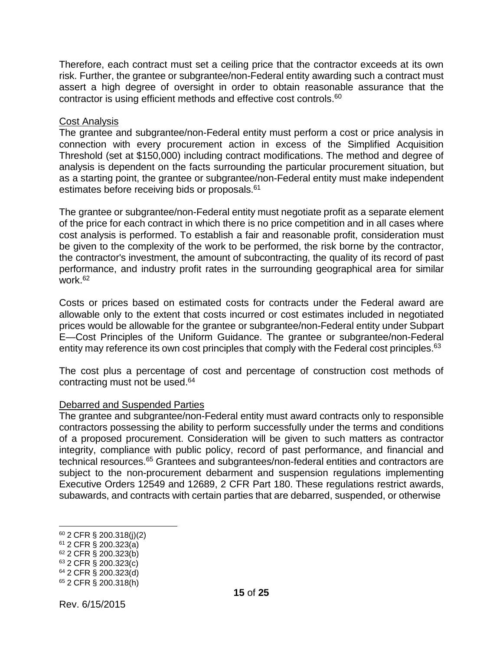Therefore, each contract must set a ceiling price that the contractor exceeds at its own risk. Further, the grantee or subgrantee/non-Federal entity awarding such a contract must assert a high degree of oversight in order to obtain reasonable assurance that the contractor is using efficient methods and effective cost controls.60

#### **Cost Analysis**

The grantee and subgrantee/non-Federal entity must perform a cost or price analysis in connection with every procurement action in excess of the Simplified Acquisition Threshold (set at \$150,000) including contract modifications. The method and degree of analysis is dependent on the facts surrounding the particular procurement situation, but as a starting point, the grantee or subgrantee/non-Federal entity must make independent estimates before receiving bids or proposals.<sup>61</sup>

The grantee or subgrantee/non-Federal entity must negotiate profit as a separate element of the price for each contract in which there is no price competition and in all cases where cost analysis is performed. To establish a fair and reasonable profit, consideration must be given to the complexity of the work to be performed, the risk borne by the contractor, the contractor's investment, the amount of subcontracting, the quality of its record of past performance, and industry profit rates in the surrounding geographical area for similar work.62

Costs or prices based on estimated costs for contracts under the Federal award are allowable only to the extent that costs incurred or cost estimates included in negotiated prices would be allowable for the grantee or subgrantee/non-Federal entity under Subpart E—Cost Principles of the Uniform Guidance. The grantee or subgrantee/non-Federal entity may reference its own cost principles that comply with the Federal cost principles.<sup>63</sup>

The cost plus a percentage of cost and percentage of construction cost methods of contracting must not be used.64

#### Debarred and Suspended Parties

The grantee and subgrantee/non-Federal entity must award contracts only to responsible contractors possessing the ability to perform successfully under the terms and conditions of a proposed procurement. Consideration will be given to such matters as contractor integrity, compliance with public policy, record of past performance, and financial and technical resources.<sup>65</sup> Grantees and subgrantees/non-federal entities and contractors are subject to the non-procurement debarment and suspension regulations implementing Executive Orders 12549 and 12689, 2 CFR Part 180. These regulations restrict awards, subawards, and contracts with certain parties that are debarred, suspended, or otherwise

<sup>60</sup> 2 CFR § 200.318(j)(2)

<sup>61</sup> 2 CFR § 200.323(a)

<sup>62</sup> 2 CFR § 200.323(b)

<sup>63</sup> 2 CFR § 200.323(c)

<sup>64</sup> 2 CFR § 200.323(d)

<sup>65</sup> 2 CFR § 200.318(h)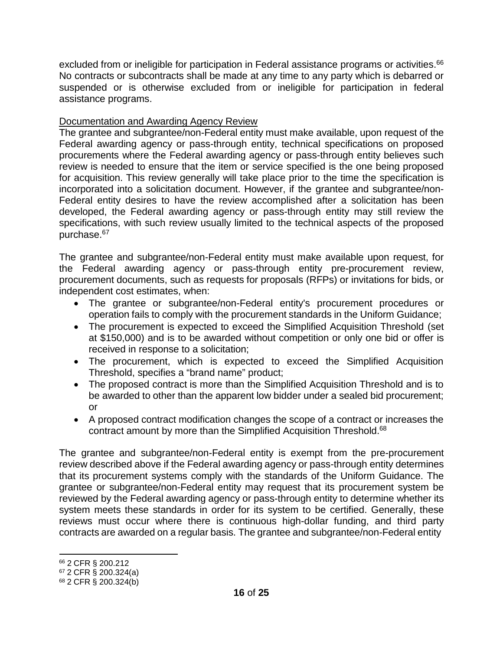excluded from or ineligible for participation in Federal assistance programs or activities.<sup>66</sup> No contracts or subcontracts shall be made at any time to any party which is debarred or suspended or is otherwise excluded from or ineligible for participation in federal assistance programs.

## Documentation and Awarding Agency Review

The grantee and subgrantee/non-Federal entity must make available, upon request of the Federal awarding agency or pass-through entity, technical specifications on proposed procurements where the Federal awarding agency or pass-through entity believes such review is needed to ensure that the item or service specified is the one being proposed for acquisition. This review generally will take place prior to the time the specification is incorporated into a solicitation document. However, if the grantee and subgrantee/non-Federal entity desires to have the review accomplished after a solicitation has been developed, the Federal awarding agency or pass-through entity may still review the specifications, with such review usually limited to the technical aspects of the proposed purchase.67

The grantee and subgrantee/non-Federal entity must make available upon request, for the Federal awarding agency or pass-through entity pre-procurement review, procurement documents, such as requests for proposals (RFPs) or invitations for bids, or independent cost estimates, when:

- The grantee or subgrantee/non-Federal entity's procurement procedures or operation fails to comply with the procurement standards in the Uniform Guidance;
- The procurement is expected to exceed the Simplified Acquisition Threshold (set at \$150,000) and is to be awarded without competition or only one bid or offer is received in response to a solicitation;
- The procurement, which is expected to exceed the Simplified Acquisition Threshold, specifies a "brand name" product;
- The proposed contract is more than the Simplified Acquisition Threshold and is to be awarded to other than the apparent low bidder under a sealed bid procurement; or
- A proposed contract modification changes the scope of a contract or increases the contract amount by more than the Simplified Acquisition Threshold.<sup>68</sup>

The grantee and subgrantee/non-Federal entity is exempt from the pre-procurement review described above if the Federal awarding agency or pass-through entity determines that its procurement systems comply with the standards of the Uniform Guidance. The grantee or subgrantee/non-Federal entity may request that its procurement system be reviewed by the Federal awarding agency or pass-through entity to determine whether its system meets these standards in order for its system to be certified. Generally, these reviews must occur where there is continuous high-dollar funding, and third party contracts are awarded on a regular basis. The grantee and subgrantee/non-Federal entity

<sup>66</sup> 2 CFR § 200.212

<sup>67</sup> 2 CFR § 200.324(a)

<sup>68</sup> 2 CFR § 200.324(b)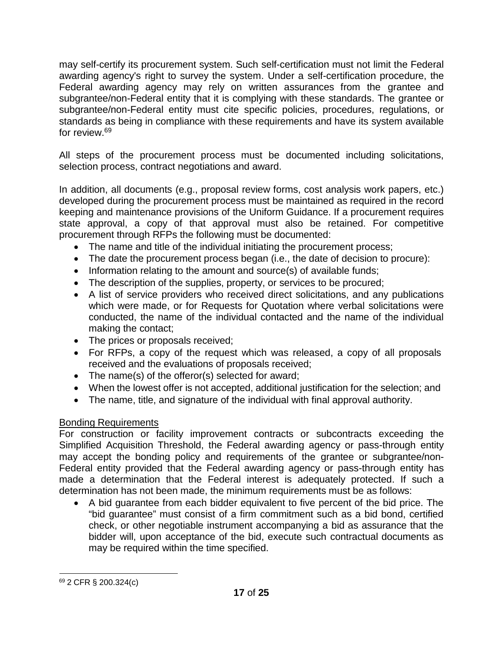may self-certify its procurement system. Such self-certification must not limit the Federal awarding agency's right to survey the system. Under a self-certification procedure, the Federal awarding agency may rely on written assurances from the grantee and subgrantee/non-Federal entity that it is complying with these standards. The grantee or subgrantee/non-Federal entity must cite specific policies, procedures, regulations, or standards as being in compliance with these requirements and have its system available for review.69

All steps of the procurement process must be documented including solicitations, selection process, contract negotiations and award.

In addition, all documents (e.g., proposal review forms, cost analysis work papers, etc.) developed during the procurement process must be maintained as required in the record keeping and maintenance provisions of the Uniform Guidance. If a procurement requires state approval, a copy of that approval must also be retained. For competitive procurement through RFPs the following must be documented:

- The name and title of the individual initiating the procurement process;
- The date the procurement process began (i.e., the date of decision to procure):
- Information relating to the amount and source(s) of available funds;
- The description of the supplies, property, or services to be procured;
- A list of service providers who received direct solicitations, and any publications which were made, or for Requests for Quotation where verbal solicitations were conducted, the name of the individual contacted and the name of the individual making the contact;
- The prices or proposals received;
- For RFPs, a copy of the request which was released, a copy of all proposals received and the evaluations of proposals received;
- The name(s) of the offeror(s) selected for award;
- When the lowest offer is not accepted, additional justification for the selection; and
- The name, title, and signature of the individual with final approval authority.

## Bonding Requirements

For construction or facility improvement contracts or subcontracts exceeding the Simplified Acquisition Threshold, the Federal awarding agency or pass-through entity may accept the bonding policy and requirements of the grantee or subgrantee/non-Federal entity provided that the Federal awarding agency or pass-through entity has made a determination that the Federal interest is adequately protected. If such a determination has not been made, the minimum requirements must be as follows:

• A bid guarantee from each bidder equivalent to five percent of the bid price. The "bid guarantee" must consist of a firm commitment such as a bid bond, certified check, or other negotiable instrument accompanying a bid as assurance that the bidder will, upon acceptance of the bid, execute such contractual documents as may be required within the time specified.

<sup>69</sup> 2 CFR § 200.324(c)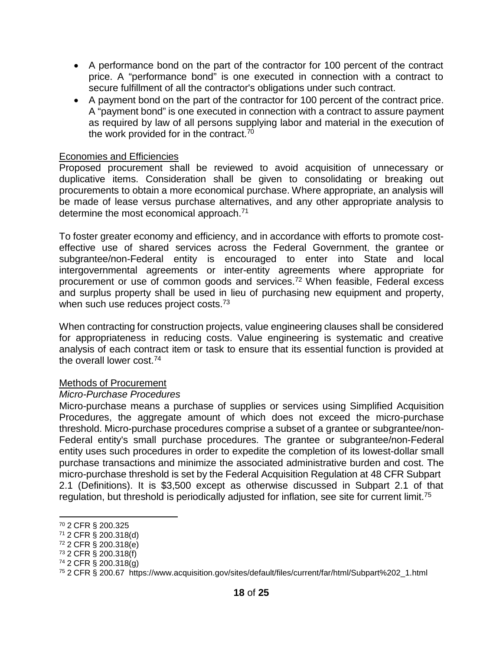- A performance bond on the part of the contractor for 100 percent of the contract price. A "performance bond" is one executed in connection with a contract to secure fulfillment of all the contractor's obligations under such contract.
- A payment bond on the part of the contractor for 100 percent of the contract price. A "payment bond" is one executed in connection with a contract to assure payment as required by law of all persons supplying labor and material in the execution of the work provided for in the contract.<sup>70</sup>

#### Economies and Efficiencies

Proposed procurement shall be reviewed to avoid acquisition of unnecessary or duplicative items. Consideration shall be given to consolidating or breaking out procurements to obtain a more economical purchase. Where appropriate, an analysis will be made of lease versus purchase alternatives, and any other appropriate analysis to determine the most economical approach.<sup>71</sup>

To foster greater economy and efficiency, and in accordance with efforts to promote costeffective use of shared services across the Federal Government, the grantee or subgrantee/non-Federal entity is encouraged to enter into State and local intergovernmental agreements or inter-entity agreements where appropriate for procurement or use of common goods and services.72 When feasible, Federal excess and surplus property shall be used in lieu of purchasing new equipment and property, when such use reduces project costs.<sup>73</sup>

When contracting for construction projects, value engineering clauses shall be considered for appropriateness in reducing costs. Value engineering is systematic and creative analysis of each contract item or task to ensure that its essential function is provided at the overall lower cost.74

#### Methods of Procurement

#### *Micro-Purchase Procedures*

Micro-purchase means a purchase of supplies or services using Simplified Acquisition Procedures, the aggregate amount of which does not exceed the micro-purchase threshold. Micro-purchase procedures comprise a subset of a grantee or subgrantee/non-Federal entity's small purchase procedures. The grantee or subgrantee/non-Federal entity uses such procedures in order to expedite the completion of its lowest-dollar small purchase transactions and minimize the associated administrative burden and cost. The micro-purchase threshold is set by the Federal Acquisition Regulation at 48 CFR Subpart 2.1 (Definitions). It is \$3,500 except as otherwise discussed in Subpart 2.1 of that regulation, but threshold is periodically adjusted for inflation, see site for current limit.<sup>75</sup>

- <sup>72</sup> 2 CFR § 200.318(e)
- <sup>73</sup> 2 CFR § 200.318(f)

<sup>70</sup> 2 CFR § 200.325

<sup>71</sup> 2 CFR § 200.318(d)

<sup>74</sup> 2 CFR § 200.318(g)

<sup>75</sup> 2 CFR § 200.67 https://www.acquisition.gov/sites/default/files/current/far/html/Subpart%202\_1.html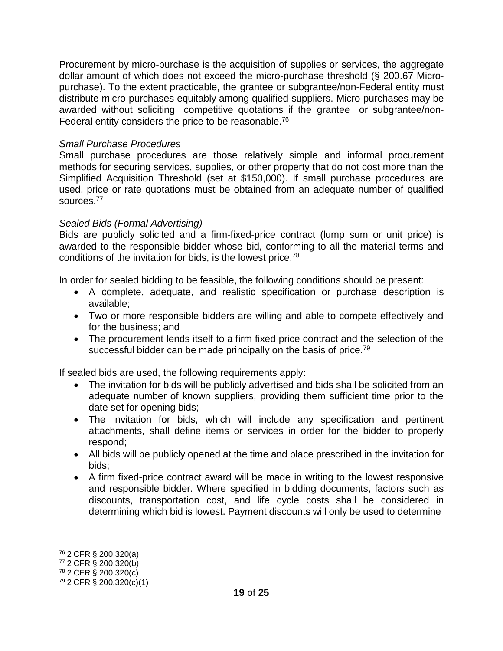Procurement by micro-purchase is the acquisition of supplies or services, the aggregate dollar amount of which does not exceed the micro-purchase threshold (§ 200.67 Micropurchase). To the extent practicable, the grantee or subgrantee/non-Federal entity must distribute micro-purchases equitably among qualified suppliers. Micro-purchases may be awarded without soliciting competitive quotations if the grantee or subgrantee/non-Federal entity considers the price to be reasonable.<sup>76</sup>

## *Small Purchase Procedures*

Small purchase procedures are those relatively simple and informal procurement methods for securing services, supplies, or other property that do not cost more than the Simplified Acquisition Threshold (set at \$150,000). If small purchase procedures are used, price or rate quotations must be obtained from an adequate number of qualified sources.77

## *Sealed Bids (Formal Advertising)*

Bids are publicly solicited and a firm-fixed-price contract (lump sum or unit price) is awarded to the responsible bidder whose bid, conforming to all the material terms and conditions of the invitation for bids, is the lowest price.78

In order for sealed bidding to be feasible, the following conditions should be present:

- A complete, adequate, and realistic specification or purchase description is available;
- Two or more responsible bidders are willing and able to compete effectively and for the business; and
- The procurement lends itself to a firm fixed price contract and the selection of the successful bidder can be made principally on the basis of price.<sup>79</sup>

If sealed bids are used, the following requirements apply:

- The invitation for bids will be publicly advertised and bids shall be solicited from an adequate number of known suppliers, providing them sufficient time prior to the date set for opening bids;
- The invitation for bids, which will include any specification and pertinent attachments, shall define items or services in order for the bidder to properly respond;
- All bids will be publicly opened at the time and place prescribed in the invitation for bids;
- A firm fixed-price contract award will be made in writing to the lowest responsive and responsible bidder. Where specified in bidding documents, factors such as discounts, transportation cost, and life cycle costs shall be considered in determining which bid is lowest. Payment discounts will only be used to determine

<sup>76</sup> 2 CFR § 200.320(a)

<sup>77</sup> 2 CFR § 200.320(b)

<sup>78</sup> 2 CFR § 200.320(c)

<sup>79</sup> 2 CFR § 200.320(c)(1)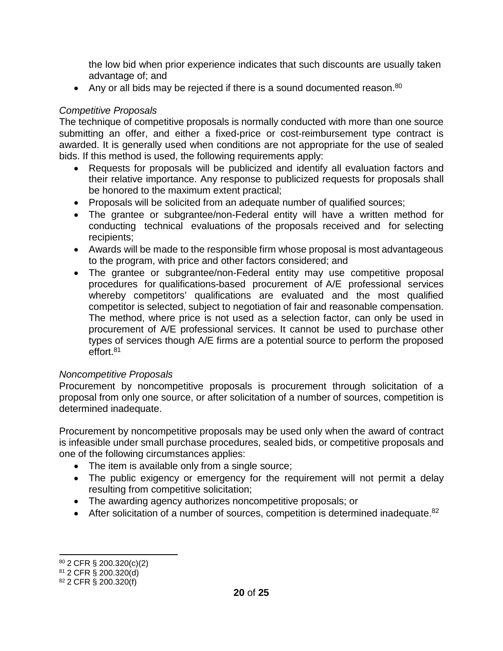the low bid when prior experience indicates that such discounts are usually taken advantage of; and

• Any or all bids may be rejected if there is a sound documented reason.<sup>80</sup>

## *Competitive Proposals*

The technique of competitive proposals is normally conducted with more than one source submitting an offer, and either a fixed-price or cost-reimbursement type contract is awarded. It is generally used when conditions are not appropriate for the use of sealed bids. If this method is used, the following requirements apply:

- Requests for proposals will be publicized and identify all evaluation factors and their relative importance. Any response to publicized requests for proposals shall be honored to the maximum extent practical;
- Proposals will be solicited from an adequate number of qualified sources;
- The grantee or subgrantee/non-Federal entity will have a written method for conducting technical evaluations of the proposals received and for selecting recipients;
- Awards will be made to the responsible firm whose proposal is most advantageous to the program, with price and other factors considered; and
- The grantee or subgrantee/non-Federal entity may use competitive proposal procedures for qualifications-based procurement of A/E professional services whereby competitors' qualifications are evaluated and the most qualified competitor is selected, subject to negotiation of fair and reasonable compensation. The method, where price is not used as a selection factor, can only be used in procurement of A/E professional services. It cannot be used to purchase other types of services though A/E firms are a potential source to perform the proposed effort.<sup>81</sup>

## *Noncompetitive Proposals*

Procurement by noncompetitive proposals is procurement through solicitation of a proposal from only one source, or after solicitation of a number of sources, competition is determined inadequate.

Procurement by noncompetitive proposals may be used only when the award of contract is infeasible under small purchase procedures, sealed bids, or competitive proposals and one of the following circumstances applies:

- The item is available only from a single source;
- The public exigency or emergency for the requirement will not permit a delay resulting from competitive solicitation;
- The awarding agency authorizes noncompetitive proposals; or
- After solicitation of a number of sources, competition is determined inadequate. $82$

<sup>80</sup> 2 CFR § 200.320(c)(2)

<sup>81</sup> 2 CFR § 200.320(d)

<sup>82</sup> 2 CFR § 200.320(f)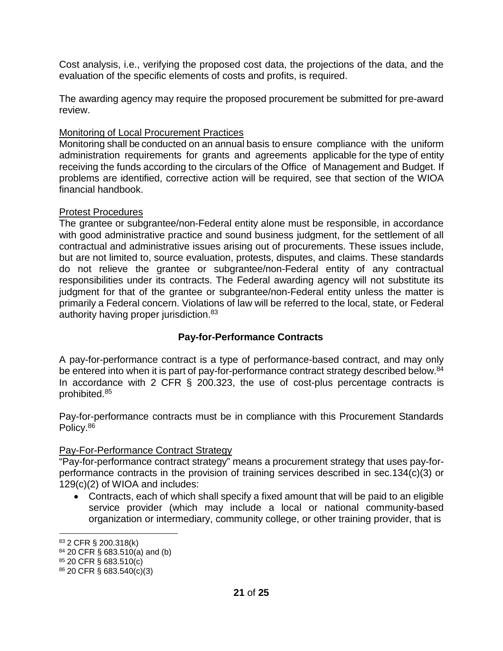Cost analysis, i.e., verifying the proposed cost data, the projections of the data, and the evaluation of the specific elements of costs and profits, is required.

The awarding agency may require the proposed procurement be submitted for pre-award review.

## Monitoring of Local Procurement Practices

Monitoring shall be conducted on an annual basis to ensure compliance with the uniform administration requirements for grants and agreements applicable for the type of entity receiving the funds according to the circulars of the Office of Management and Budget. If problems are identified, corrective action will be required, see that section of the WIOA financial handbook.

## Protest Procedures

The grantee or subgrantee/non-Federal entity alone must be responsible, in accordance with good administrative practice and sound business judgment, for the settlement of all contractual and administrative issues arising out of procurements. These issues include, but are not limited to, source evaluation, protests, disputes, and claims. These standards do not relieve the grantee or subgrantee/non-Federal entity of any contractual responsibilities under its contracts. The Federal awarding agency will not substitute its judgment for that of the grantee or subgrantee/non-Federal entity unless the matter is primarily a Federal concern. Violations of law will be referred to the local, state, or Federal authority having proper jurisdiction.83

## **Pay-for-Performance Contracts**

A pay-for-performance contract is a type of performance-based contract, and may only be entered into when it is part of pay-for-performance contract strategy described below.<sup>84</sup> In accordance with 2 CFR § 200.323, the use of cost-plus percentage contracts is prohibited.85

Pay-for-performance contracts must be in compliance with this Procurement Standards Policy.<sup>86</sup>

## Pay-For-Performance Contract Strategy

"Pay-for-performance contract strategy" means a procurement strategy that uses pay-forperformance contracts in the provision of training services described in sec.134(c)(3) or 129(c)(2) of WIOA and includes:

• Contracts, each of which shall specify a fixed amount that will be paid to an eligible service provider (which may include a local or national community-based organization or intermediary, community college, or other training provider, that is

<sup>83</sup> 2 CFR § 200.318(k)

 $84$  20 CFR § 683.510(a) and (b)

<sup>85</sup> 20 CFR § 683.510(c) <sup>86</sup> 20 CFR § 683.540(c)(3)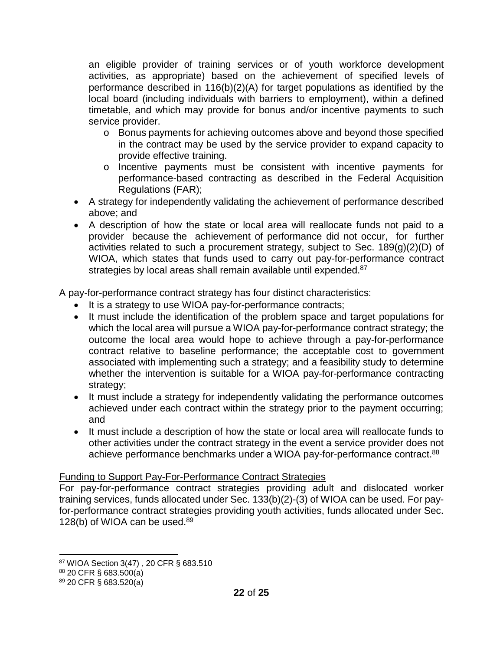an eligible provider of training services or of youth workforce development activities, as appropriate) based on the achievement of specified levels of performance described in 116(b)(2)(A) for target populations as identified by the local board (including individuals with barriers to employment), within a defined timetable, and which may provide for bonus and/or incentive payments to such service provider.

- o Bonus payments for achieving outcomes above and beyond those specified in the contract may be used by the service provider to expand capacity to provide effective training.
- o Incentive payments must be consistent with incentive payments for performance-based contracting as described in the Federal Acquisition Regulations (FAR);
- A strategy for independently validating the achievement of performance described above; and
- A description of how the state or local area will reallocate funds not paid to a provider because the achievement of performance did not occur, for further activities related to such a procurement strategy, subject to Sec. 189(g)(2)(D) of WIOA, which states that funds used to carry out pay-for-performance contract strategies by local areas shall remain available until expended.<sup>87</sup>

A pay-for-performance contract strategy has four distinct characteristics:

- It is a strategy to use WIOA pay-for-performance contracts;
- It must include the identification of the problem space and target populations for which the local area will pursue a WIOA pay-for-performance contract strategy; the outcome the local area would hope to achieve through a pay-for-performance contract relative to baseline performance; the acceptable cost to government associated with implementing such a strategy; and a feasibility study to determine whether the intervention is suitable for a WIOA pay-for-performance contracting strategy;
- It must include a strategy for independently validating the performance outcomes achieved under each contract within the strategy prior to the payment occurring; and
- It must include a description of how the state or local area will reallocate funds to other activities under the contract strategy in the event a service provider does not achieve performance benchmarks under a WIOA pay-for-performance contract.<sup>88</sup>

## Funding to Support Pay-For-Performance Contract Strategies

For pay-for-performance contract strategies providing adult and dislocated worker training services, funds allocated under Sec. 133(b)(2)-(3) of WIOA can be used. For payfor-performance contract strategies providing youth activities, funds allocated under Sec. 128(b) of WIOA can be used. $89$ 

<sup>87</sup> WIOA Section 3(47) , 20 CFR § 683.510

<sup>88</sup> 20 CFR § 683.500(a)

<sup>89</sup> 20 CFR § 683.520(a)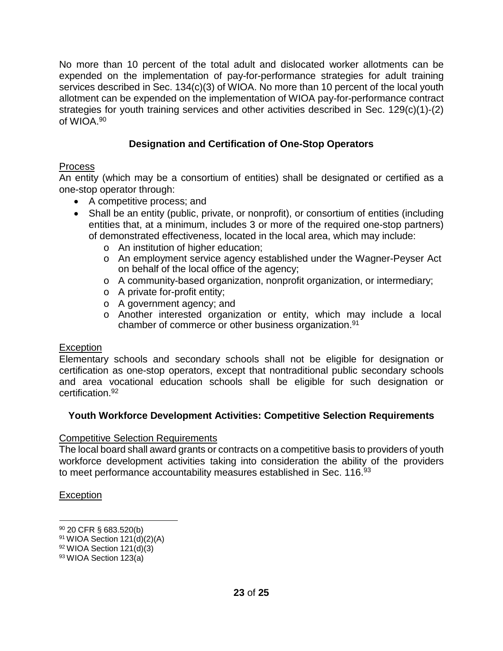No more than 10 percent of the total adult and dislocated worker allotments can be expended on the implementation of pay-for-performance strategies for adult training services described in Sec. 134(c)(3) of WIOA. No more than 10 percent of the local youth allotment can be expended on the implementation of WIOA pay-for-performance contract strategies for youth training services and other activities described in Sec. 129(c)(1)-(2) of WIOA.90

## **Designation and Certification of One-Stop Operators**

## Process

An entity (which may be a consortium of entities) shall be designated or certified as a one-stop operator through:

- A competitive process; and
- Shall be an entity (public, private, or nonprofit), or consortium of entities (including entities that, at a minimum, includes 3 or more of the required one-stop partners) of demonstrated effectiveness, located in the local area, which may include:
	- o An institution of higher education;
	- o An employment service agency established under the Wagner-Peyser Act on behalf of the local office of the agency;
	- o A community-based organization, nonprofit organization, or intermediary;
	- o A private for-profit entity;
	- o A government agency; and
	- o Another interested organization or entity, which may include a local chamber of commerce or other business organization.91

## **Exception**

Elementary schools and secondary schools shall not be eligible for designation or certification as one-stop operators, except that nontraditional public secondary schools and area vocational education schools shall be eligible for such designation or certification.92

## **Youth Workforce Development Activities: Competitive Selection Requirements**

## Competitive Selection Requirements

The local board shall award grants or contracts on a competitive basis to providers of youth workforce development activities taking into consideration the ability of the providers to meet performance accountability measures established in Sec. 116.<sup>93</sup>

## **Exception**

<sup>90</sup> 20 CFR § 683.520(b)

 $91$  WIOA Section 121(d)(2)(A)

 $92$  WIOA Section 121(d)(3)

<sup>93</sup> WIOA Section 123(a)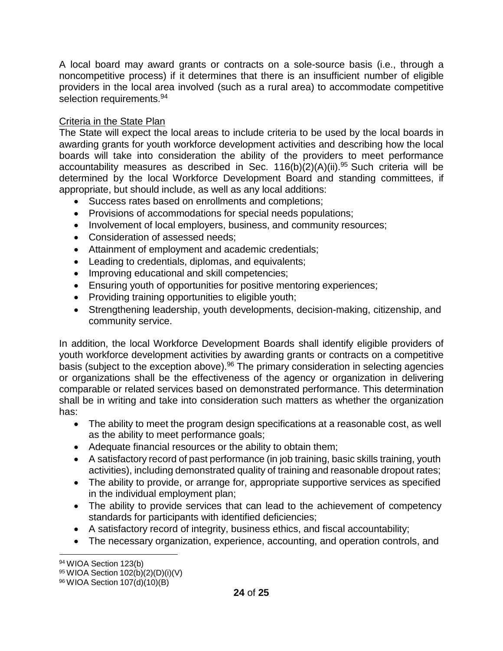A local board may award grants or contracts on a sole-source basis (i.e., through a noncompetitive process) if it determines that there is an insufficient number of eligible providers in the local area involved (such as a rural area) to accommodate competitive selection requirements.<sup>94</sup>

## **Criteria in the State Plan**

The State will expect the local areas to include criteria to be used by the local boards in awarding grants for youth workforce development activities and describing how the local boards will take into consideration the ability of the providers to meet performance accountability measures as described in Sec.  $116(b)(2)(A)(ii).^{95}$  Such criteria will be determined by the local Workforce Development Board and standing committees, if appropriate, but should include, as well as any local additions:

- Success rates based on enrollments and completions;
- Provisions of accommodations for special needs populations;
- Involvement of local employers, business, and community resources;
- Consideration of assessed needs;
- Attainment of employment and academic credentials;
- Leading to credentials, diplomas, and equivalents;
- Improving educational and skill competencies;
- Ensuring youth of opportunities for positive mentoring experiences;
- Providing training opportunities to eligible youth;
- Strengthening leadership, youth developments, decision-making, citizenship, and community service.

In addition, the local Workforce Development Boards shall identify eligible providers of youth workforce development activities by awarding grants or contracts on a competitive basis (subject to the exception above).<sup>96</sup> The primary consideration in selecting agencies or organizations shall be the effectiveness of the agency or organization in delivering comparable or related services based on demonstrated performance. This determination shall be in writing and take into consideration such matters as whether the organization has:

- The ability to meet the program design specifications at a reasonable cost, as well as the ability to meet performance goals;
- Adequate financial resources or the ability to obtain them;
- A satisfactory record of past performance (in job training, basic skills training, youth activities), including demonstrated quality of training and reasonable dropout rates;
- The ability to provide, or arrange for, appropriate supportive services as specified in the individual employment plan;
- The ability to provide services that can lead to the achievement of competency standards for participants with identified deficiencies;
- A satisfactory record of integrity, business ethics, and fiscal accountability;
- The necessary organization, experience, accounting, and operation controls, and

<sup>94</sup> WIOA Section 123(b)

<sup>95</sup> WIOA Section 102(b)(2)(D)(i)(V)

<sup>96</sup> WIOA Section 107(d)(10)(B)